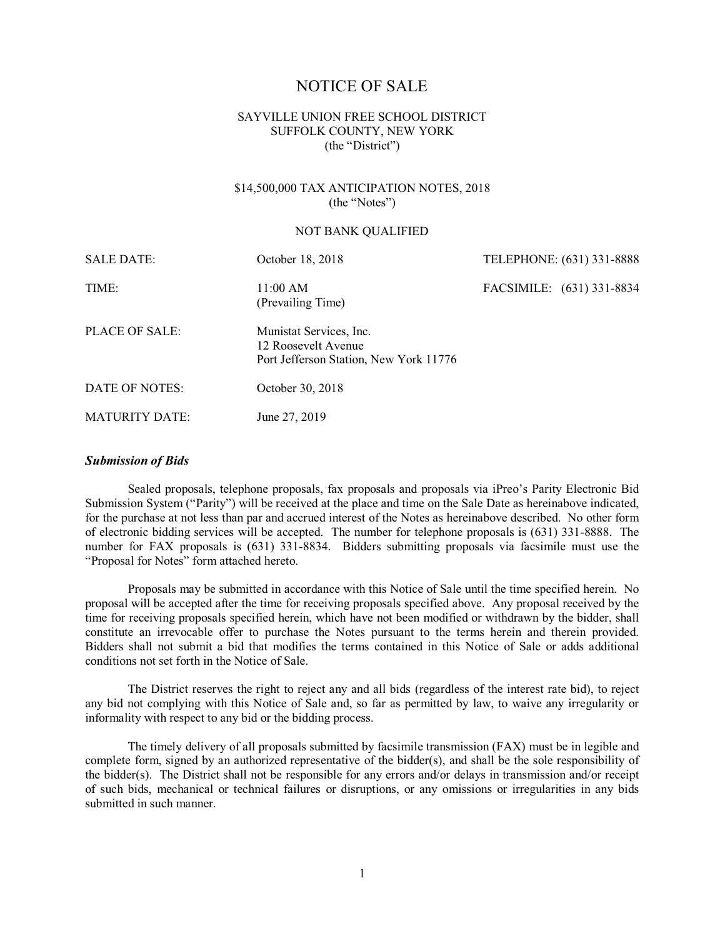# NOTICE OF SALE

## SAYVILLE UNION FREE SCHOOL DISTRICT SUFFOLK COUNTY, NEW YORK (the "District")

### \$14,500,000 TAX ANTICIPATION NOTES, 2018 (the "Notes")

#### NOT BANK QUALIFIED

| <b>SALE DATE:</b>     | October 18, 2018                                                                         | TELEPHONE: (631) 331-8888 |  |
|-----------------------|------------------------------------------------------------------------------------------|---------------------------|--|
| TIME:                 | 11:00 AM<br>(Prevailing Time)                                                            | FACSIMILE: (631) 331-8834 |  |
| PLACE OF SALE:        | Munistat Services, Inc.<br>12 Roosevelt Avenue<br>Port Jefferson Station, New York 11776 |                           |  |
| DATE OF NOTES:        | October 30, 2018                                                                         |                           |  |
| <b>MATURITY DATE:</b> | June 27, 2019                                                                            |                           |  |

#### *Submission of Bids*

Sealed proposals, telephone proposals, fax proposals and proposals via iPreo's Parity Electronic Bid Submission System ("Parity") will be received at the place and time on the Sale Date as hereinabove indicated, for the purchase at not less than par and accrued interest of the Notes as hereinabove described. No other form of electronic bidding services will be accepted. The number for telephone proposals is (631) 331-8888. The number for FAX proposals is (631) 331-8834. Bidders submitting proposals via facsimile must use the "Proposal for Notes" form attached hereto.

Proposals may be submitted in accordance with this Notice of Sale until the time specified herein. No proposal will be accepted after the time for receiving proposals specified above. Any proposal received by the time for receiving proposals specified herein, which have not been modified or withdrawn by the bidder, shall constitute an irrevocable offer to purchase the Notes pursuant to the terms herein and therein provided. Bidders shall not submit a bid that modifies the terms contained in this Notice of Sale or adds additional conditions not set forth in the Notice of Sale.

The District reserves the right to reject any and all bids (regardless of the interest rate bid), to reject any bid not complying with this Notice of Sale and, so far as permitted by law, to waive any irregularity or informality with respect to any bid or the bidding process.

The timely delivery of all proposals submitted by facsimile transmission (FAX) must be in legible and complete form, signed by an authorized representative of the bidder(s), and shall be the sole responsibility of the bidder(s). The District shall not be responsible for any errors and/or delays in transmission and/or receipt of such bids, mechanical or technical failures or disruptions, or any omissions or irregularities in any bids submitted in such manner.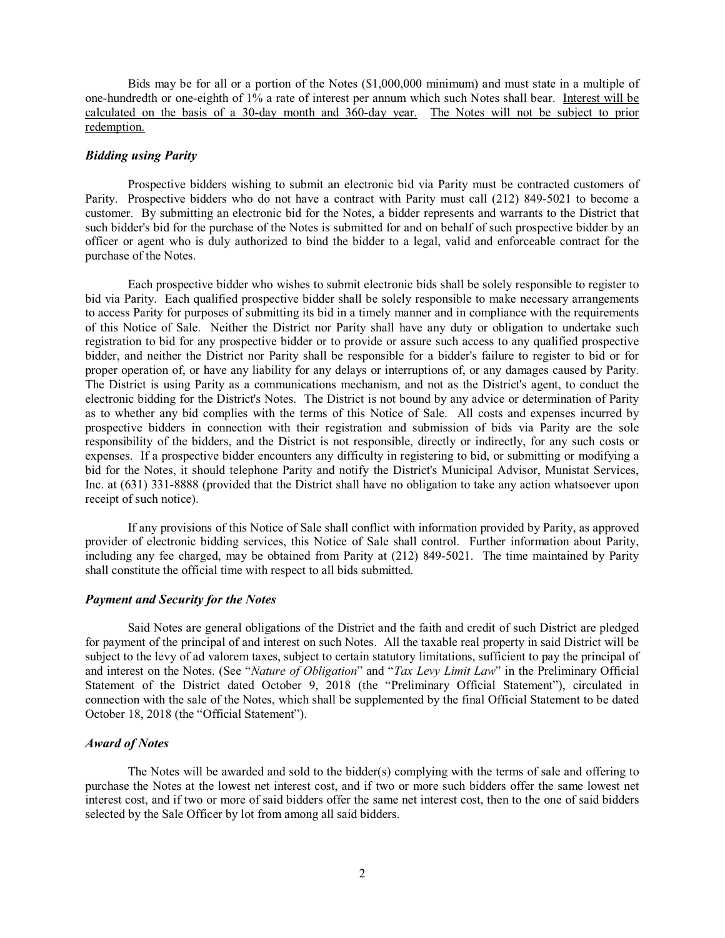Bids may be for all or a portion of the Notes (\$1,000,000 minimum) and must state in a multiple of one-hundredth or one-eighth of 1% a rate of interest per annum which such Notes shall bear. Interest will be calculated on the basis of a 30-day month and 360-day year. The Notes will not be subject to prior redemption.

#### *Bidding using Parity*

Prospective bidders wishing to submit an electronic bid via Parity must be contracted customers of Parity. Prospective bidders who do not have a contract with Parity must call (212) 849-5021 to become a customer. By submitting an electronic bid for the Notes, a bidder represents and warrants to the District that such bidder's bid for the purchase of the Notes is submitted for and on behalf of such prospective bidder by an officer or agent who is duly authorized to bind the bidder to a legal, valid and enforceable contract for the purchase of the Notes.

Each prospective bidder who wishes to submit electronic bids shall be solely responsible to register to bid via Parity. Each qualified prospective bidder shall be solely responsible to make necessary arrangements to access Parity for purposes of submitting its bid in a timely manner and in compliance with the requirements of this Notice of Sale. Neither the District nor Parity shall have any duty or obligation to undertake such registration to bid for any prospective bidder or to provide or assure such access to any qualified prospective bidder, and neither the District nor Parity shall be responsible for a bidder's failure to register to bid or for proper operation of, or have any liability for any delays or interruptions of, or any damages caused by Parity. The District is using Parity as a communications mechanism, and not as the District's agent, to conduct the electronic bidding for the District's Notes. The District is not bound by any advice or determination of Parity as to whether any bid complies with the terms of this Notice of Sale. All costs and expenses incurred by prospective bidders in connection with their registration and submission of bids via Parity are the sole responsibility of the bidders, and the District is not responsible, directly or indirectly, for any such costs or expenses. If a prospective bidder encounters any difficulty in registering to bid, or submitting or modifying a bid for the Notes, it should telephone Parity and notify the District's Municipal Advisor, Munistat Services, Inc. at (631) 331-8888 (provided that the District shall have no obligation to take any action whatsoever upon receipt of such notice).

If any provisions of this Notice of Sale shall conflict with information provided by Parity, as approved provider of electronic bidding services, this Notice of Sale shall control. Further information about Parity, including any fee charged, may be obtained from Parity at (212) 849-5021. The time maintained by Parity shall constitute the official time with respect to all bids submitted.

#### *Payment and Security for the Notes*

Said Notes are general obligations of the District and the faith and credit of such District are pledged for payment of the principal of and interest on such Notes. All the taxable real property in said District will be subject to the levy of ad valorem taxes, subject to certain statutory limitations, sufficient to pay the principal of and interest on the Notes. (See "*Nature of Obligation*" and "*Tax Levy Limit Law*" in the Preliminary Official Statement of the District dated October 9, 2018 (the "Preliminary Official Statement"), circulated in connection with the sale of the Notes, which shall be supplemented by the final Official Statement to be dated October 18, 2018 (the "Official Statement").

## *Award of Notes*

The Notes will be awarded and sold to the bidder(s) complying with the terms of sale and offering to purchase the Notes at the lowest net interest cost, and if two or more such bidders offer the same lowest net interest cost, and if two or more of said bidders offer the same net interest cost, then to the one of said bidders selected by the Sale Officer by lot from among all said bidders.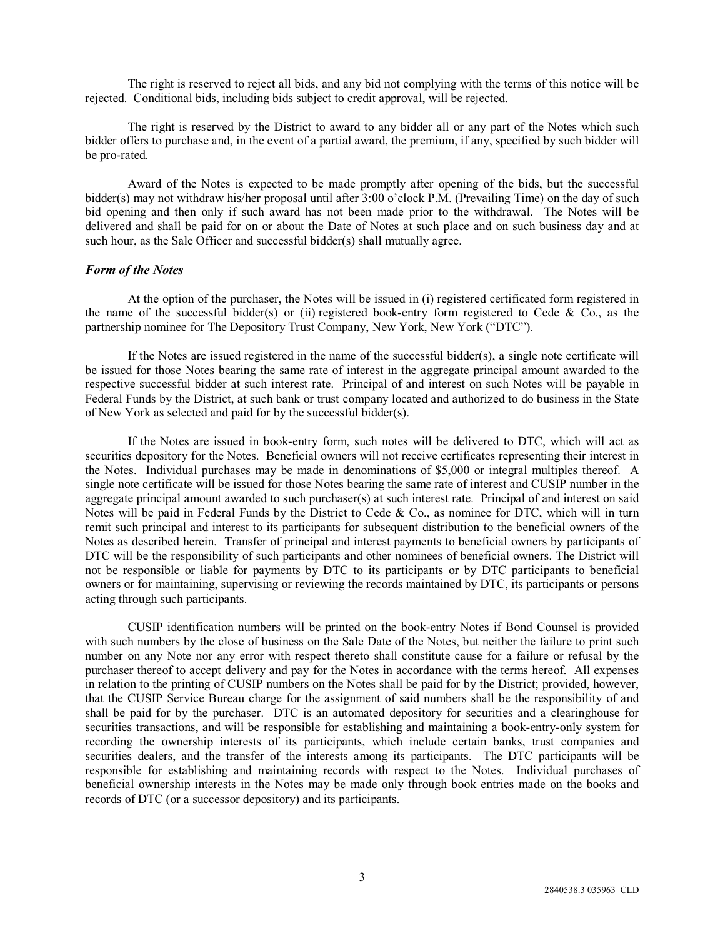The right is reserved to reject all bids, and any bid not complying with the terms of this notice will be rejected. Conditional bids, including bids subject to credit approval, will be rejected.

The right is reserved by the District to award to any bidder all or any part of the Notes which such bidder offers to purchase and, in the event of a partial award, the premium, if any, specified by such bidder will be pro-rated.

Award of the Notes is expected to be made promptly after opening of the bids, but the successful bidder(s) may not withdraw his/her proposal until after 3:00 o'clock P.M. (Prevailing Time) on the day of such bid opening and then only if such award has not been made prior to the withdrawal. The Notes will be delivered and shall be paid for on or about the Date of Notes at such place and on such business day and at such hour, as the Sale Officer and successful bidder(s) shall mutually agree.

### *Form of the Notes*

At the option of the purchaser, the Notes will be issued in (i) registered certificated form registered in the name of the successful bidder(s) or (ii) registered book-entry form registered to Cede & Co., as the partnership nominee for The Depository Trust Company, New York, New York ("DTC").

If the Notes are issued registered in the name of the successful bidder(s), a single note certificate will be issued for those Notes bearing the same rate of interest in the aggregate principal amount awarded to the respective successful bidder at such interest rate. Principal of and interest on such Notes will be payable in Federal Funds by the District, at such bank or trust company located and authorized to do business in the State of New York as selected and paid for by the successful bidder(s).

If the Notes are issued in book-entry form, such notes will be delivered to DTC, which will act as securities depository for the Notes. Beneficial owners will not receive certificates representing their interest in the Notes. Individual purchases may be made in denominations of \$5,000 or integral multiples thereof. A single note certificate will be issued for those Notes bearing the same rate of interest and CUSIP number in the aggregate principal amount awarded to such purchaser(s) at such interest rate. Principal of and interest on said Notes will be paid in Federal Funds by the District to Cede & Co., as nominee for DTC, which will in turn remit such principal and interest to its participants for subsequent distribution to the beneficial owners of the Notes as described herein. Transfer of principal and interest payments to beneficial owners by participants of DTC will be the responsibility of such participants and other nominees of beneficial owners. The District will not be responsible or liable for payments by DTC to its participants or by DTC participants to beneficial owners or for maintaining, supervising or reviewing the records maintained by DTC, its participants or persons acting through such participants.

CUSIP identification numbers will be printed on the book-entry Notes if Bond Counsel is provided with such numbers by the close of business on the Sale Date of the Notes, but neither the failure to print such number on any Note nor any error with respect thereto shall constitute cause for a failure or refusal by the purchaser thereof to accept delivery and pay for the Notes in accordance with the terms hereof. All expenses in relation to the printing of CUSIP numbers on the Notes shall be paid for by the District; provided, however, that the CUSIP Service Bureau charge for the assignment of said numbers shall be the responsibility of and shall be paid for by the purchaser. DTC is an automated depository for securities and a clearinghouse for securities transactions, and will be responsible for establishing and maintaining a book-entry-only system for recording the ownership interests of its participants, which include certain banks, trust companies and securities dealers, and the transfer of the interests among its participants. The DTC participants will be responsible for establishing and maintaining records with respect to the Notes. Individual purchases of beneficial ownership interests in the Notes may be made only through book entries made on the books and records of DTC (or a successor depository) and its participants.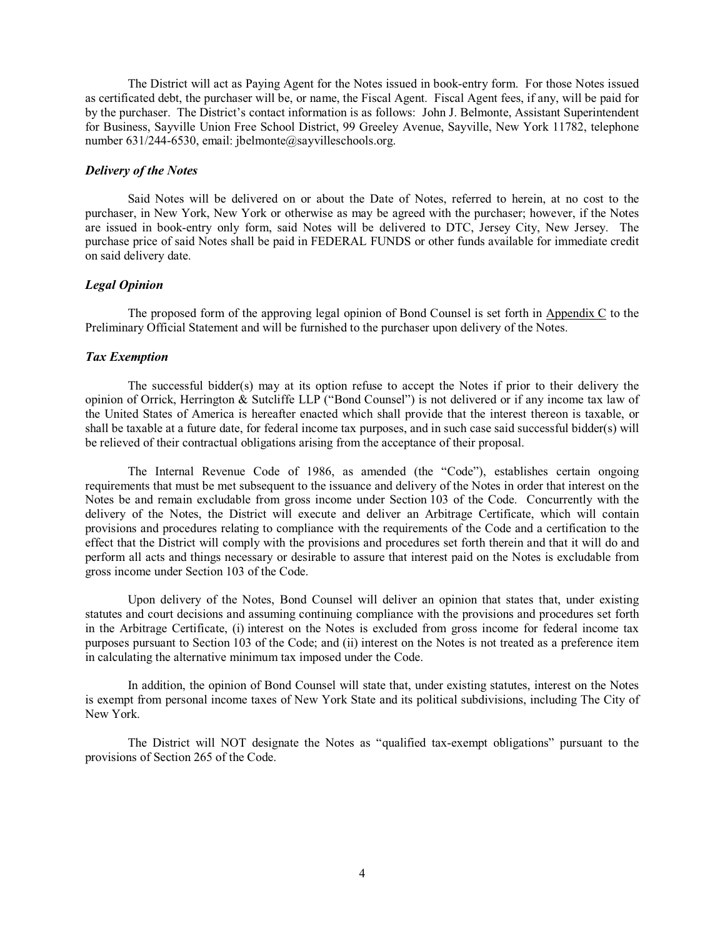The District will act as Paying Agent for the Notes issued in book-entry form. For those Notes issued as certificated debt, the purchaser will be, or name, the Fiscal Agent. Fiscal Agent fees, if any, will be paid for by the purchaser. The District's contact information is as follows: John J. Belmonte, Assistant Superintendent for Business, Sayville Union Free School District, 99 Greeley Avenue, Sayville, New York 11782, telephone number 631/244-6530, email: jbelmonte@sayvilleschools.org.

## *Delivery of the Notes*

Said Notes will be delivered on or about the Date of Notes, referred to herein, at no cost to the purchaser, in New York, New York or otherwise as may be agreed with the purchaser; however, if the Notes are issued in book-entry only form, said Notes will be delivered to DTC, Jersey City, New Jersey. The purchase price of said Notes shall be paid in FEDERAL FUNDS or other funds available for immediate credit on said delivery date.

#### *Legal Opinion*

The proposed form of the approving legal opinion of Bond Counsel is set forth in Appendix C to the Preliminary Official Statement and will be furnished to the purchaser upon delivery of the Notes.

#### *Tax Exemption*

The successful bidder(s) may at its option refuse to accept the Notes if prior to their delivery the opinion of Orrick, Herrington & Sutcliffe LLP ("Bond Counsel") is not delivered or if any income tax law of the United States of America is hereafter enacted which shall provide that the interest thereon is taxable, or shall be taxable at a future date, for federal income tax purposes, and in such case said successful bidder(s) will be relieved of their contractual obligations arising from the acceptance of their proposal.

The Internal Revenue Code of 1986, as amended (the "Code"), establishes certain ongoing requirements that must be met subsequent to the issuance and delivery of the Notes in order that interest on the Notes be and remain excludable from gross income under Section 103 of the Code. Concurrently with the delivery of the Notes, the District will execute and deliver an Arbitrage Certificate, which will contain provisions and procedures relating to compliance with the requirements of the Code and a certification to the effect that the District will comply with the provisions and procedures set forth therein and that it will do and perform all acts and things necessary or desirable to assure that interest paid on the Notes is excludable from gross income under Section 103 of the Code.

Upon delivery of the Notes, Bond Counsel will deliver an opinion that states that, under existing statutes and court decisions and assuming continuing compliance with the provisions and procedures set forth in the Arbitrage Certificate, (i) interest on the Notes is excluded from gross income for federal income tax purposes pursuant to Section 103 of the Code; and (ii) interest on the Notes is not treated as a preference item in calculating the alternative minimum tax imposed under the Code.

In addition, the opinion of Bond Counsel will state that, under existing statutes, interest on the Notes is exempt from personal income taxes of New York State and its political subdivisions, including The City of New York.

The District will NOT designate the Notes as "qualified tax-exempt obligations" pursuant to the provisions of Section 265 of the Code.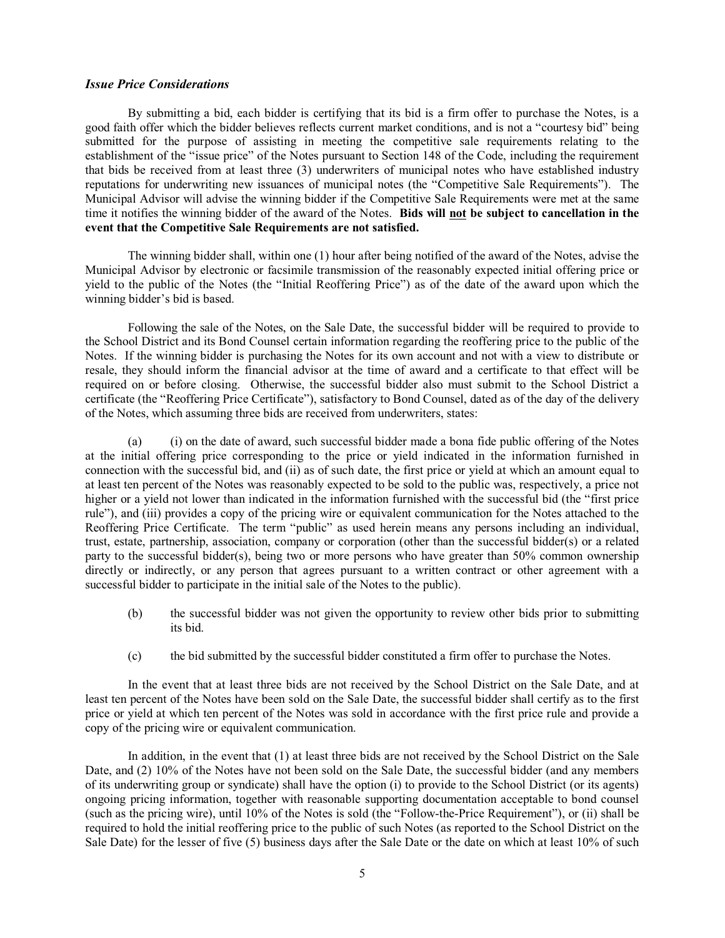#### *Issue Price Considerations*

By submitting a bid, each bidder is certifying that its bid is a firm offer to purchase the Notes, is a good faith offer which the bidder believes reflects current market conditions, and is not a "courtesy bid" being submitted for the purpose of assisting in meeting the competitive sale requirements relating to the establishment of the "issue price" of the Notes pursuant to Section 148 of the Code, including the requirement that bids be received from at least three (3) underwriters of municipal notes who have established industry reputations for underwriting new issuances of municipal notes (the "Competitive Sale Requirements"). The Municipal Advisor will advise the winning bidder if the Competitive Sale Requirements were met at the same time it notifies the winning bidder of the award of the Notes. **Bids will not be subject to cancellation in the event that the Competitive Sale Requirements are not satisfied.**

The winning bidder shall, within one (1) hour after being notified of the award of the Notes, advise the Municipal Advisor by electronic or facsimile transmission of the reasonably expected initial offering price or yield to the public of the Notes (the "Initial Reoffering Price") as of the date of the award upon which the winning bidder's bid is based.

Following the sale of the Notes, on the Sale Date, the successful bidder will be required to provide to the School District and its Bond Counsel certain information regarding the reoffering price to the public of the Notes. If the winning bidder is purchasing the Notes for its own account and not with a view to distribute or resale, they should inform the financial advisor at the time of award and a certificate to that effect will be required on or before closing. Otherwise, the successful bidder also must submit to the School District a certificate (the "Reoffering Price Certificate"), satisfactory to Bond Counsel, dated as of the day of the delivery of the Notes, which assuming three bids are received from underwriters, states:

(a) (i) on the date of award, such successful bidder made a bona fide public offering of the Notes at the initial offering price corresponding to the price or yield indicated in the information furnished in connection with the successful bid, and (ii) as of such date, the first price or yield at which an amount equal to at least ten percent of the Notes was reasonably expected to be sold to the public was, respectively, a price not higher or a yield not lower than indicated in the information furnished with the successful bid (the "first price rule"), and (iii) provides a copy of the pricing wire or equivalent communication for the Notes attached to the Reoffering Price Certificate. The term "public" as used herein means any persons including an individual, trust, estate, partnership, association, company or corporation (other than the successful bidder(s) or a related party to the successful bidder(s), being two or more persons who have greater than 50% common ownership directly or indirectly, or any person that agrees pursuant to a written contract or other agreement with a successful bidder to participate in the initial sale of the Notes to the public).

- (b) the successful bidder was not given the opportunity to review other bids prior to submitting its bid.
- (c) the bid submitted by the successful bidder constituted a firm offer to purchase the Notes.

In the event that at least three bids are not received by the School District on the Sale Date, and at least ten percent of the Notes have been sold on the Sale Date, the successful bidder shall certify as to the first price or yield at which ten percent of the Notes was sold in accordance with the first price rule and provide a copy of the pricing wire or equivalent communication.

In addition, in the event that (1) at least three bids are not received by the School District on the Sale Date, and (2) 10% of the Notes have not been sold on the Sale Date, the successful bidder (and any members of its underwriting group or syndicate) shall have the option (i) to provide to the School District (or its agents) ongoing pricing information, together with reasonable supporting documentation acceptable to bond counsel (such as the pricing wire), until 10% of the Notes is sold (the "Follow-the-Price Requirement"), or (ii) shall be required to hold the initial reoffering price to the public of such Notes (as reported to the School District on the Sale Date) for the lesser of five (5) business days after the Sale Date or the date on which at least 10% of such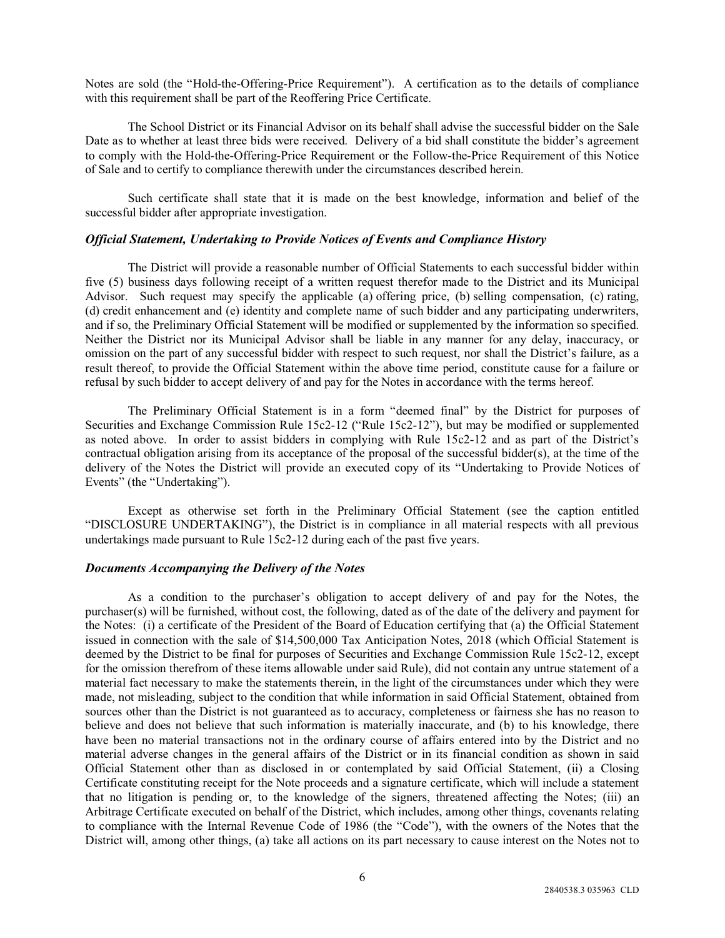Notes are sold (the "Hold-the-Offering-Price Requirement"). A certification as to the details of compliance with this requirement shall be part of the Reoffering Price Certificate.

The School District or its Financial Advisor on its behalf shall advise the successful bidder on the Sale Date as to whether at least three bids were received. Delivery of a bid shall constitute the bidder's agreement to comply with the Hold-the-Offering-Price Requirement or the Follow-the-Price Requirement of this Notice of Sale and to certify to compliance therewith under the circumstances described herein.

Such certificate shall state that it is made on the best knowledge, information and belief of the successful bidder after appropriate investigation.

#### *Official Statement, Undertaking to Provide Notices of Events and Compliance History*

The District will provide a reasonable number of Official Statements to each successful bidder within five (5) business days following receipt of a written request therefor made to the District and its Municipal Advisor. Such request may specify the applicable (a) offering price, (b) selling compensation, (c) rating, (d) credit enhancement and (e) identity and complete name of such bidder and any participating underwriters, and if so, the Preliminary Official Statement will be modified or supplemented by the information so specified. Neither the District nor its Municipal Advisor shall be liable in any manner for any delay, inaccuracy, or omission on the part of any successful bidder with respect to such request, nor shall the District's failure, as a result thereof, to provide the Official Statement within the above time period, constitute cause for a failure or refusal by such bidder to accept delivery of and pay for the Notes in accordance with the terms hereof.

The Preliminary Official Statement is in a form "deemed final" by the District for purposes of Securities and Exchange Commission Rule 15c2-12 ("Rule 15c2-12"), but may be modified or supplemented as noted above. In order to assist bidders in complying with Rule 15c2-12 and as part of the District's contractual obligation arising from its acceptance of the proposal of the successful bidder(s), at the time of the delivery of the Notes the District will provide an executed copy of its "Undertaking to Provide Notices of Events" (the "Undertaking").

Except as otherwise set forth in the Preliminary Official Statement (see the caption entitled "DISCLOSURE UNDERTAKING"), the District is in compliance in all material respects with all previous undertakings made pursuant to Rule 15c2-12 during each of the past five years.

#### *Documents Accompanying the Delivery of the Notes*

As a condition to the purchaser's obligation to accept delivery of and pay for the Notes, the purchaser(s) will be furnished, without cost, the following, dated as of the date of the delivery and payment for the Notes: (i) a certificate of the President of the Board of Education certifying that (a) the Official Statement issued in connection with the sale of \$14,500,000 Tax Anticipation Notes, 2018 (which Official Statement is deemed by the District to be final for purposes of Securities and Exchange Commission Rule 15c2-12, except for the omission therefrom of these items allowable under said Rule), did not contain any untrue statement of a material fact necessary to make the statements therein, in the light of the circumstances under which they were made, not misleading, subject to the condition that while information in said Official Statement, obtained from sources other than the District is not guaranteed as to accuracy, completeness or fairness she has no reason to believe and does not believe that such information is materially inaccurate, and (b) to his knowledge, there have been no material transactions not in the ordinary course of affairs entered into by the District and no material adverse changes in the general affairs of the District or in its financial condition as shown in said Official Statement other than as disclosed in or contemplated by said Official Statement, (ii) a Closing Certificate constituting receipt for the Note proceeds and a signature certificate, which will include a statement that no litigation is pending or, to the knowledge of the signers, threatened affecting the Notes; (iii) an Arbitrage Certificate executed on behalf of the District, which includes, among other things, covenants relating to compliance with the Internal Revenue Code of 1986 (the "Code"), with the owners of the Notes that the District will, among other things, (a) take all actions on its part necessary to cause interest on the Notes not to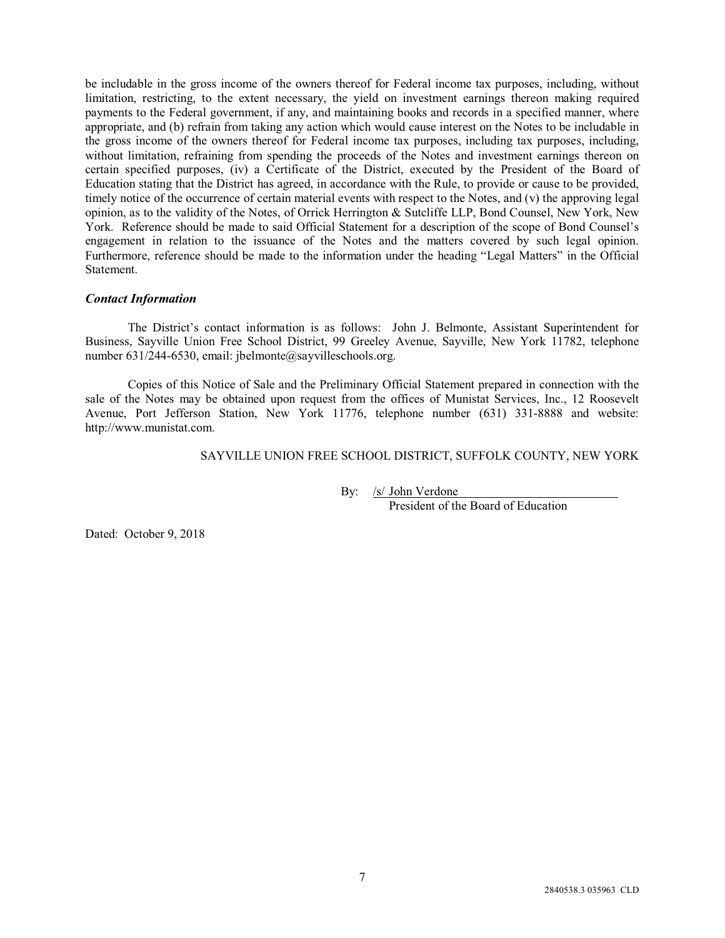be includable in the gross income of the owners thereof for Federal income tax purposes, including, without limitation, restricting, to the extent necessary, the yield on investment earnings thereon making required payments to the Federal government, if any, and maintaining books and records in a specified manner, where appropriate, and (b) refrain from taking any action which would cause interest on the Notes to be includable in the gross income of the owners thereof for Federal income tax purposes, including tax purposes, including, without limitation, refraining from spending the proceeds of the Notes and investment earnings thereon on certain specified purposes, (iv) a Certificate of the District, executed by the President of the Board of Education stating that the District has agreed, in accordance with the Rule, to provide or cause to be provided, timely notice of the occurrence of certain material events with respect to the Notes, and (v) the approving legal opinion, as to the validity of the Notes, of Orrick Herrington & Sutcliffe LLP, Bond Counsel, New York, New York. Reference should be made to said Official Statement for a description of the scope of Bond Counsel's engagement in relation to the issuance of the Notes and the matters covered by such legal opinion. Furthermore, reference should be made to the information under the heading "Legal Matters" in the Official Statement.

### *Contact Information*

The District's contact information is as follows: John J. Belmonte, Assistant Superintendent for Business, Sayville Union Free School District, 99 Greeley Avenue, Sayville, New York 11782, telephone number 631/244-6530, email: jbelmonte@sayvilleschools.org.

Copies of this Notice of Sale and the Preliminary Official Statement prepared in connection with the sale of the Notes may be obtained upon request from the offices of Munistat Services, Inc., 12 Roosevelt Avenue, Port Jefferson Station, New York 11776, telephone number (631) 331-8888 and website: http://www.munistat.com.

SAYVILLE UNION FREE SCHOOL DISTRICT, SUFFOLK COUNTY, NEW YORK

By: /s/ John Verdone President of the Board of Education

Dated: October 9, 2018